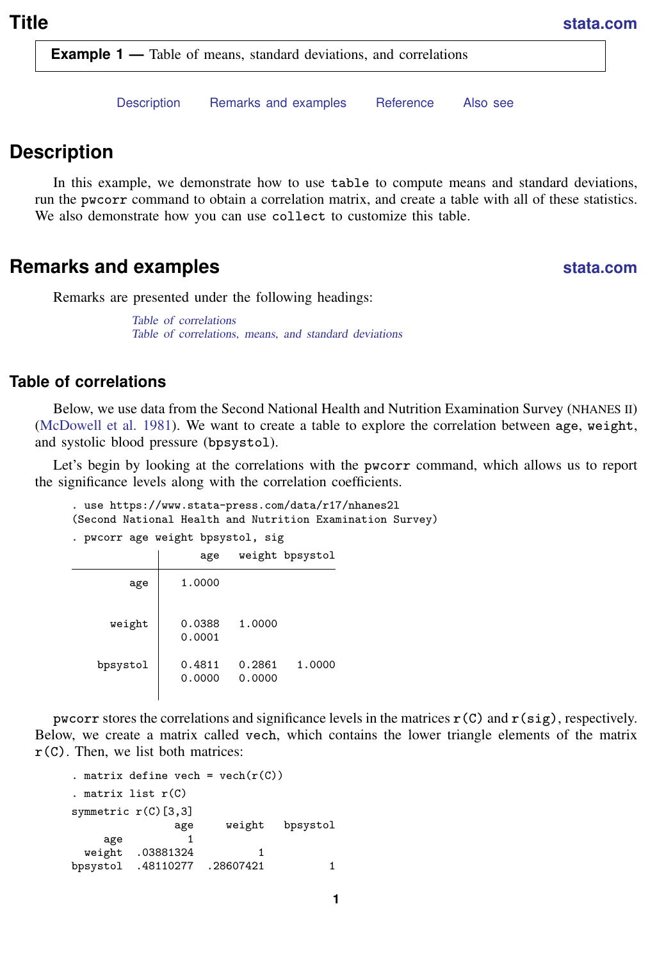<span id="page-0-3"></span>**Example 1** — Table of means, standard deviations, and correlations

[Description](#page-0-0) [Remarks and examples](#page-0-1) [Reference](#page-5-0) [Also see](#page-5-1)

## <span id="page-0-0"></span>**Description**

In this example, we demonstrate how to use table to compute means and standard deviations, run the pwcorr command to obtain a correlation matrix, and create a table with all of these statistics. We also demonstrate how you can use collect to customize this table.

# <span id="page-0-1"></span>**Remarks and examples [stata.com](http://stata.com)**

Remarks are presented under the following headings:

[Table of correlations](#page-0-2) [Table of correlations, means, and standard deviations](#page-2-0)

### <span id="page-0-2"></span>**Table of correlations**

Below, we use data from the Second National Health and Nutrition Examination Survey (NHANES II) [\(McDowell et al.](#page-5-2) [1981\)](#page-5-2). We want to create a table to explore the correlation between age, weight, and systolic blood pressure (bpsystol).

Let's begin by looking at the correlations with the pwcorr command, which allows us to report the significance levels along with the correlation coefficients.

```
. use https://www.stata-press.com/data/r17/nhanes2l
(Second National Health and Nutrition Examination Survey)
. pwcorr age weight bpsystol, sig
```

|          | age              |                  | weight bpsystol |  |  |  |
|----------|------------------|------------------|-----------------|--|--|--|
| age      | 1.0000           |                  |                 |  |  |  |
| weight   | 0.0388<br>0.0001 | 1.0000           |                 |  |  |  |
| bpsystol | 0.4811<br>0.0000 | 0.2861<br>0.0000 | 1.0000          |  |  |  |

pwcorr stores the correlations and significance levels in the matrices  $r(C)$  and  $r(sig)$ , respectively. Below, we create a matrix called vech, which contains the lower triangle elements of the matrix  $r(C)$ . Then, we list both matrices:

```
. matrix define vech = vech(r(C)). matrix list r(C)
symmetric r(C)[3,3]
             age weight bpsystol
    age 1
 weight .03881324 1
bpsystol .48110277 .28607421 1
```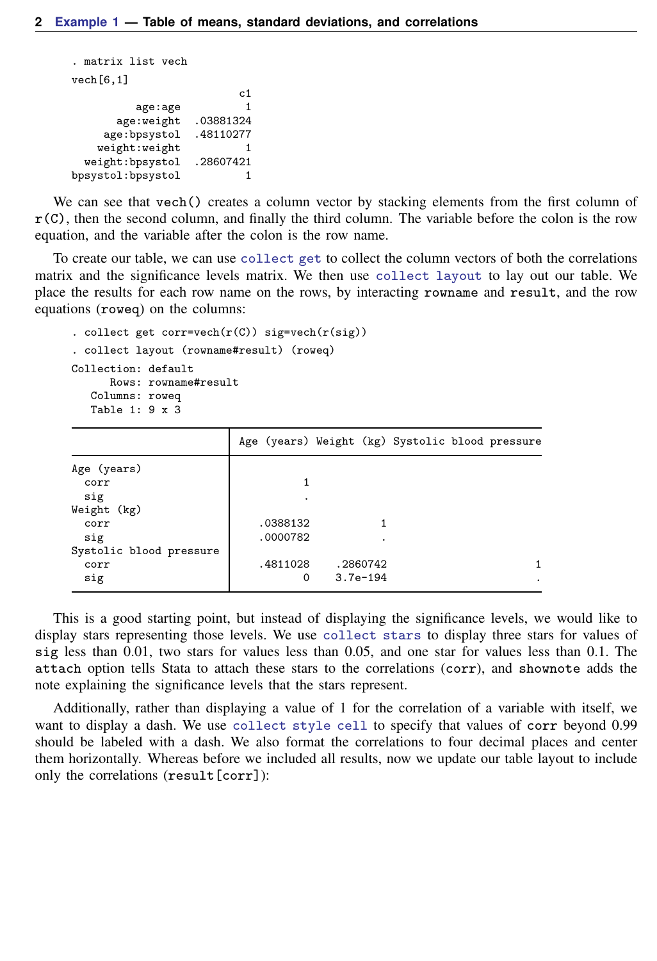```
. matrix list vech
vech[6,1]
                             c1
           age:age 1<br>veight .03881324:
        age:weight .03881324<br>e:bpsystol .48110277
     age:bpsystol
    weight:weight 1
  weight:bpsystol .28607421
bpsystol:bpsystol 1
```
We can see that vech() creates a column vector by stacking elements from the first column of  $r(C)$ , then the second column, and finally the third column. The variable before the colon is the row equation, and the variable after the colon is the row name.

To create our table, we can use [collect get](https://www.stata.com/manuals/tablescollectget.pdf#tablescollectget) to collect the column vectors of both the correlations matrix and the significance levels matrix. We then use [collect layout](https://www.stata.com/manuals/tablescollectlayout.pdf#tablescollectlayout) to lay out our table. We place the results for each row name on the rows, by interacting rowname and result, and the row equations (roweq) on the columns:

```
. collect get corr=vech(r(C)) sig=vech(r(sig))
. collect layout (rowname#result) (roweq)
Collection: default
     Rows: rowname#result
  Columns: roweq
  Table 1: 9 x 3
```

|                         | Age (years) Weight (kg) Systolic blood pressure |            |  |  |
|-------------------------|-------------------------------------------------|------------|--|--|
| Age (years)             |                                                 |            |  |  |
| corr                    |                                                 |            |  |  |
| sig                     | ٠                                               |            |  |  |
| Weight (kg)             |                                                 |            |  |  |
| corr                    | .0388132                                        |            |  |  |
| sig                     | .0000782                                        |            |  |  |
| Systolic blood pressure |                                                 |            |  |  |
| corr                    | .4811028                                        | .2860742   |  |  |
| sig                     | 0                                               | $3.7e-194$ |  |  |

This is a good starting point, but instead of displaying the significance levels, we would like to display stars representing those levels. We use [collect stars](https://www.stata.com/manuals/tablescollectstars.pdf#tablescollectstars) to display three stars for values of sig less than 0.01, two stars for values less than 0.05, and one star for values less than 0.1. The attach option tells Stata to attach these stars to the correlations (corr), and shownote adds the note explaining the significance levels that the stars represent.

Additionally, rather than displaying a value of 1 for the correlation of a variable with itself, we want to display a dash. We use [collect style cell](https://www.stata.com/manuals/tablescollectstylecell.pdf#tablescollectstylecell) to specify that values of corr beyond 0.99 should be labeled with a dash. We also format the correlations to four decimal places and center them horizontally. Whereas before we included all results, now we update our table layout to include only the correlations (result[corr]):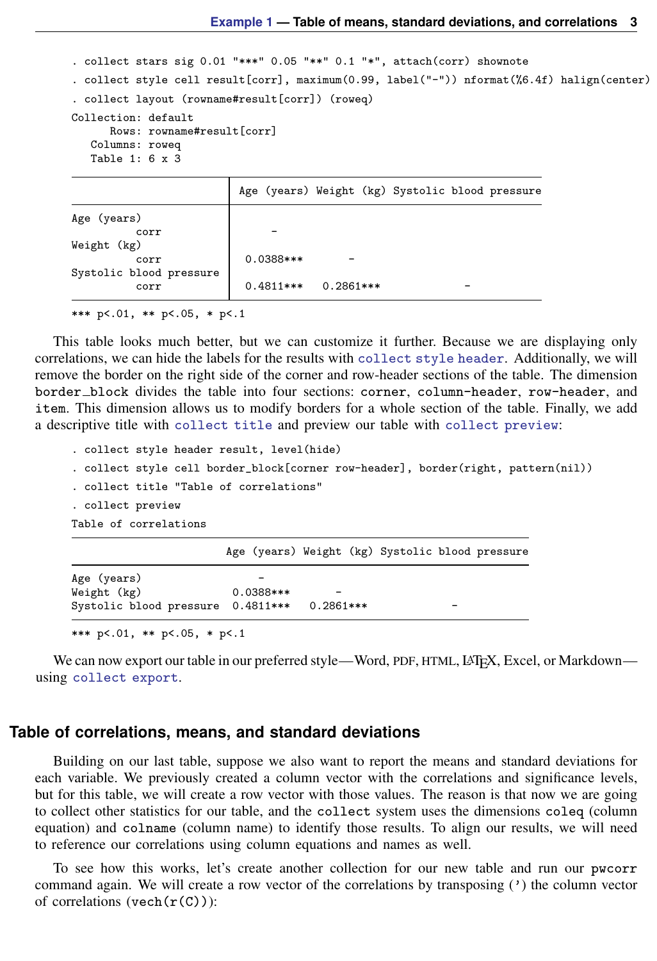. collect stars sig 0.01 "\*\*\*" 0.05 "\*\*" 0.1 "\*", attach(corr) shownote

```
. collect style cell result[corr], maximum(0.99, label("-")) nformat(%6.4f) halign(center)
. collect layout (rowname#result[corr]) (roweq)
Collection: default
      Rows: rowname#result[corr]
   Columns: roweq
   Table 1: 6 x 3
                        Age (years) Weight (kg) Systolic blood pressure
```

|                         |           | age (years) weight (kg) systolic blood pressure |  |  |
|-------------------------|-----------|-------------------------------------------------|--|--|
| Age (years)             |           |                                                 |  |  |
| corr                    |           |                                                 |  |  |
| Weight (kg)             |           |                                                 |  |  |
| corr                    | 0.0388*** |                                                 |  |  |
| Systolic blood pressure |           |                                                 |  |  |
| corr                    |           | $0.4811***$ 0.2861***                           |  |  |
|                         |           |                                                 |  |  |

\*\*\* p<.01, \*\* p<.05, \* p<.1

This table looks much better, but we can customize it further. Because we are displaying only correlations, we can hide the labels for the results with [collect style header](https://www.stata.com/manuals/tablescollectstyleheader.pdf#tablescollectstyleheader). Additionally, we will remove the border on the right side of the corner and row-header sections of the table. The dimension border block divides the table into four sections: corner, column-header, row-header, and item. This dimension allows us to modify borders for a whole section of the table. Finally, we add a descriptive title with [collect title](https://www.stata.com/manuals/tablescollecttitle.pdf#tablescollecttitle) and preview our table with [collect preview](https://www.stata.com/manuals/tablescollectpreview.pdf#tablescollectpreview):

```
. collect style header result, level(hide)
. collect style cell border block[corner row-header], border(right, pattern(nil))
. collect title "Table of correlations"
. collect preview
Table of correlations
                        Age (years) Weight (kg) Systolic blood pressure
```

| Age (years)                       |           |           |   |
|-----------------------------------|-----------|-----------|---|
| Weight (kg)                       | 0.0388*** |           |   |
| Systolic blood pressure 0.4811*** |           | 0.2861*** | - |
|                                   |           |           |   |

\*\*\* p<.01, \*\* p<.05, \* p<.1

<span id="page-2-0"></span>We can now export our table in our preferred style—Word, PDF, HTML, LATEX, Excel, or Markdown using [collect export](https://www.stata.com/manuals/tablescollectexport.pdf#tablescollectexport).

#### **Table of correlations, means, and standard deviations**

Building on our last table, suppose we also want to report the means and standard deviations for each variable. We previously created a column vector with the correlations and significance levels, but for this table, we will create a row vector with those values. The reason is that now we are going to collect other statistics for our table, and the collect system uses the dimensions coleq (column equation) and colname (column name) to identify those results. To align our results, we will need to reference our correlations using column equations and names as well.

To see how this works, let's create another collection for our new table and run our pwcorr command again. We will create a row vector of the correlations by transposing (') the column vector of correlations (vech $(r(C))$ ):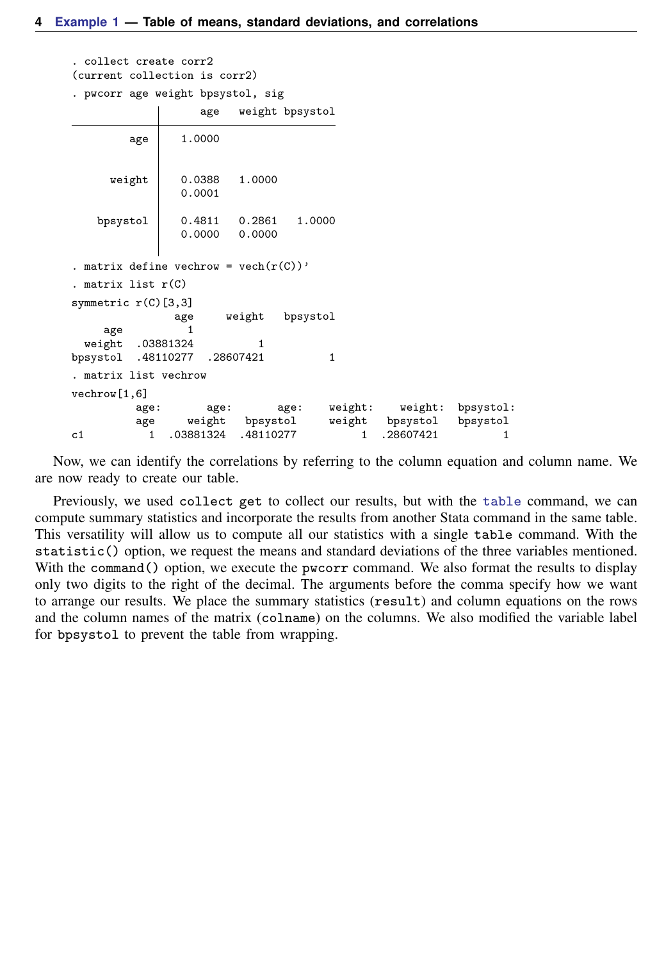```
. collect create corr2
(current collection is corr2)
. pwcorr age weight bpsystol, sig
                    age weight bpsystol
         age 1.0000
      weight 0.0388 1.0000
                 0.0001
   bpsystol 0.4811 0.2861 1.0000
                        0.0000
. matrix define vechrow = vech(r(C))'
. matrix list r(C)
symmetric r(C)[3,3]
                age weight bpsystol
     age 1
 weight .03881324 1<br>systol .48110277 .28607421
bpsystol .48110277 .28607421 1
. matrix list vechrow
vechrow[1,6]
          age: age: age: weight: weight: bpsystol:<br>age weight bpsystol weight bpsystol bpsystol
          age weight bpsystol<br>1 .03881324 .48110277
c1 1 .03881324 .48110277 1 .28607421 1
```
Now, we can identify the correlations by referring to the column equation and column name. We are now ready to create our table.

Previously, we used collect get to collect our results, but with the [table](https://www.stata.com/manuals/rtable.pdf#rtable) command, we can compute summary statistics and incorporate the results from another Stata command in the same table. This versatility will allow us to compute all our statistics with a single table command. With the statistic() option, we request the means and standard deviations of the three variables mentioned. With the command() option, we execute the pwcorr command. We also format the results to display only two digits to the right of the decimal. The arguments before the comma specify how we want to arrange our results. We place the summary statistics (result) and column equations on the rows and the column names of the matrix (colname) on the columns. We also modified the variable label for bpsystol to prevent the table from wrapping.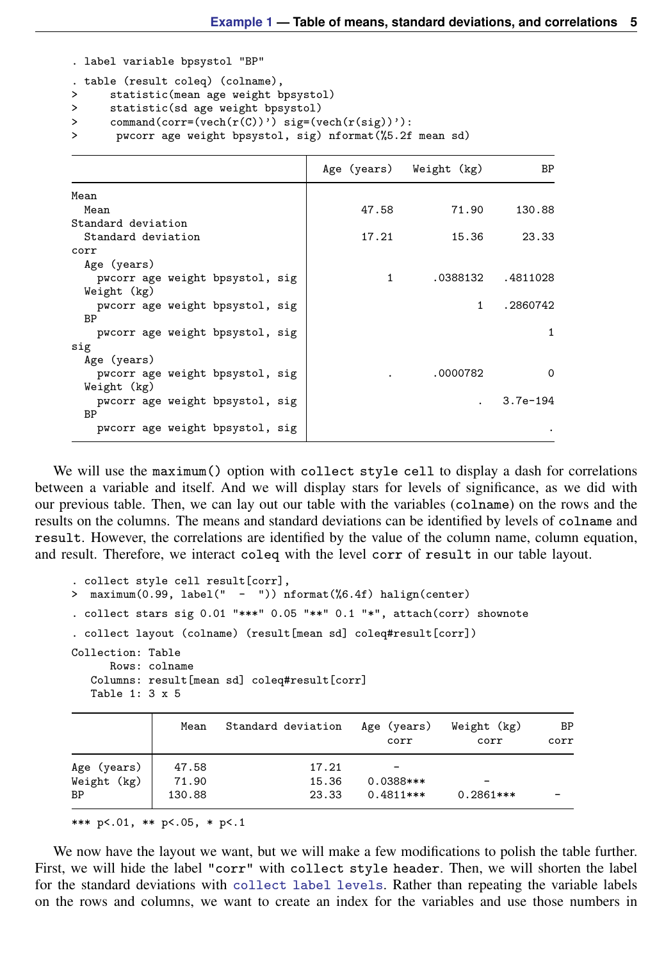. label variable bpsystol "BP"

```
. table (result coleq) (colname),
```
- > statistic(mean age weight bpsystol)
- > statistic(sd age weight bpsystol)
- > command(corr=(vech(r(C))') sig=(vech(r(sig))'):
- > pwcorr age weight bpsystol, sig) nformat(%5.2f mean sd)

|                                 |       | Age (years) Weight (kg) | BP         |
|---------------------------------|-------|-------------------------|------------|
| Mean                            |       |                         |            |
| Mean                            | 47.58 | 71.90                   | 130.88     |
| Standard deviation              |       |                         |            |
| Standard deviation              | 17.21 | 15.36                   | 23.33      |
| corr                            |       |                         |            |
| Age (years)                     |       |                         |            |
| pwcorr age weight bpsystol, sig | 1     | .0388132                | .4811028   |
| Weight (kg)                     |       |                         |            |
| pwcorr age weight bpsystol, sig |       | 1                       | .2860742   |
| BP                              |       |                         |            |
| pwcorr age weight bpsystol, sig |       |                         | 1          |
| sig                             |       |                         |            |
| Age (years)                     |       |                         |            |
| pwcorr age weight bpsystol, sig |       | .0000782                | $\Omega$   |
| Weight (kg)                     |       |                         |            |
| pwcorr age weight bpsystol, sig |       |                         | $3.7e-194$ |
| BP                              |       |                         |            |
| pwcorr age weight bpsystol, sig |       |                         |            |

We will use the maximum () option with collect style cell to display a dash for correlations between a variable and itself. And we will display stars for levels of significance, as we did with our previous table. Then, we can lay out our table with the variables (colname) on the rows and the results on the columns. The means and standard deviations can be identified by levels of colname and result. However, the correlations are identified by the value of the column name, column equation, and result. Therefore, we interact coleq with the level corr of result in our table layout.

```
. collect style cell result[corr],
> maximum(0.99, label(" - ")) nformat(%6.4f) halign(center)
. collect stars sig 0.01 "***" 0.05 "**" 0.1 "*", attach(corr) shownote
. collect layout (colname) (result[mean sd] coleq#result[corr])
Collection: Table
      Rows: colname
   Columns: result[mean sd] coleq#result[corr]
   Table 1: 3 x 5
```

| Mean   | Standard deviation | Age (years)<br>corr | Weight (kg)<br>corr | BP<br>corr |
|--------|--------------------|---------------------|---------------------|------------|
| 47.58  | 17.21              |                     |                     |            |
| 71.90  | 15.36              | 0.0388***           |                     |            |
| 130.88 | 23.33              | $0.4811***$         | $0.2861***$         |            |
|        |                    |                     |                     |            |

\*\*\* p<.01, \*\* p<.05, \* p<.1

We now have the layout we want, but we will make a few modifications to polish the table further. First, we will hide the label "corr" with collect style header. Then, we will shorten the label for the standard deviations with [collect label levels](https://www.stata.com/manuals/tablescollectlabel.pdf#tablescollectlabel). Rather than repeating the variable labels on the rows and columns, we want to create an index for the variables and use those numbers in